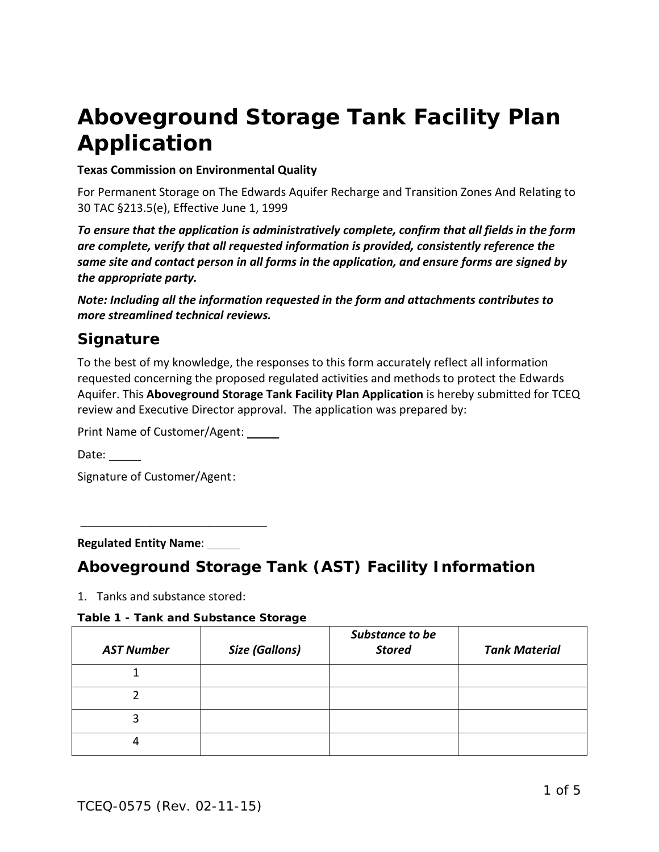# **Aboveground Storage Tank Facility Plan Application**

#### **Texas Commission on Environmental Quality**

For Permanent Storage on The Edwards Aquifer Recharge and Transition Zones And Relating to 30 TAC §213.5(e), Effective June 1, 1999

*To ensure that the application is administratively complete, confirm that all fields in the form are complete, verify that all requested information is provided, consistently reference the same site and contact person in all forms in the application, and ensure forms are signed by the appropriate party.* 

*Note: Including all the information requested in the form and attachments contributes to more streamlined technical reviews.*

## *Signature*

To the best of my knowledge, the responses to this form accurately reflect all information requested concerning the proposed regulated activities and methods to protect the Edwards Aquifer. This **Aboveground Storage Tank Facility Plan Application** is hereby submitted for TCEQ review and Executive Director approval. The application was prepared by:

Print Name of Customer/Agent:

 $\overline{\phantom{a}}$  , where  $\overline{\phantom{a}}$  , where  $\overline{\phantom{a}}$  , where  $\overline{\phantom{a}}$ 

Date: 1

Signature of Customer/Agent:

**Regulated Entity Name**:

## *Aboveground Storage Tank (AST) Facility Information*

1. Tanks and substance stored:

#### **Table 1 - Tank and Substance Storage**

| <b>AST Number</b> | <b>Size (Gallons)</b> | Substance to be<br><b>Stored</b> | <b>Tank Material</b> |
|-------------------|-----------------------|----------------------------------|----------------------|
|                   |                       |                                  |                      |
|                   |                       |                                  |                      |
|                   |                       |                                  |                      |
|                   |                       |                                  |                      |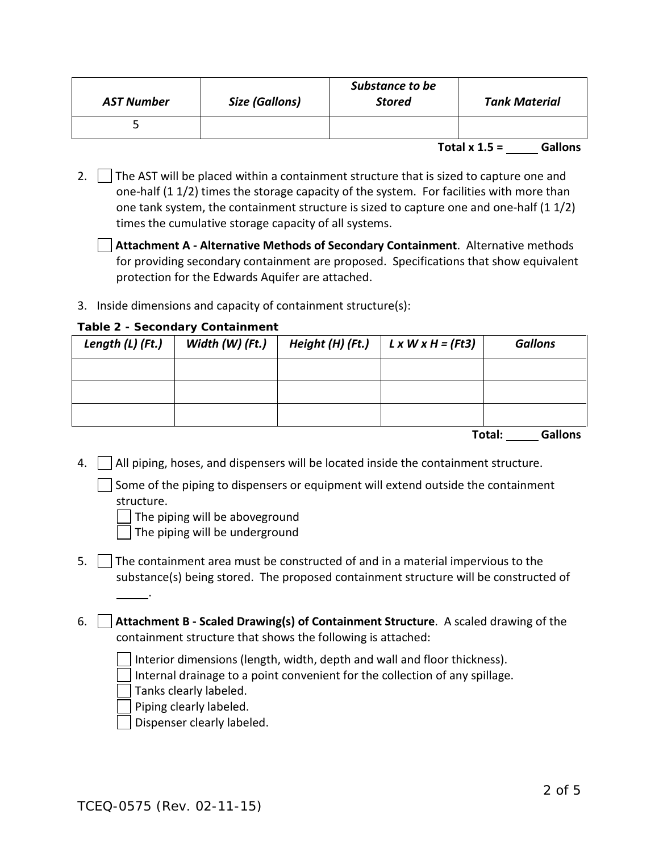| <b>AST Number</b> | Size (Gallons) | Substance to be<br><b>Stored</b> | Tank Material   |                |
|-------------------|----------------|----------------------------------|-----------------|----------------|
|                   |                |                                  |                 |                |
|                   |                |                                  | Total $x 1.5 =$ | <b>Gallons</b> |

- 2.  $\Box$  The AST will be placed within a containment structure that is sized to capture one and one-half (1 1/2) times the storage capacity of the system. For facilities with more than one tank system, the containment structure is sized to capture one and one-half (1 1/2) times the cumulative storage capacity of all systems.
	- **Attachment A - Alternative Methods of Secondary Containment**. Alternative methods for providing secondary containment are proposed. Specifications that show equivalent protection for the Edwards Aquifer are attached.
- 3. Inside dimensions and capacity of containment structure(s):

#### **Table 2 - Secondary Containment**

| Length (L) (Ft.) | Width $(W)$ (Ft.) | Height (H) (Ft.) | $L \times W \times H = (Ft3)$ | <b>Gallons</b> |
|------------------|-------------------|------------------|-------------------------------|----------------|
|                  |                   |                  |                               |                |
|                  |                   |                  |                               |                |
|                  |                   |                  |                               |                |

**Total: Gallons**

4.  $\vert$   $\vert$  All piping, hoses, and dispensers will be located inside the containment structure.

 $\vert \ \vert$  Some of the piping to dispensers or equipment will extend outside the containment structure.

The piping will be aboveground

The piping will be underground

- 5.  $\Box$  The containment area must be constructed of and in a material impervious to the substance(s) being stored. The proposed containment structure will be constructed of
- 6. **Attachment B - Scaled Drawing(s) of Containment Structure**. A scaled drawing of the containment structure that shows the following is attached:
	- Interior dimensions (length, width, depth and wall and floor thickness).
	- Internal drainage to a point convenient for the collection of any spillage.

Tanks clearly labeled.

.

Piping clearly labeled.

Dispenser clearly labeled.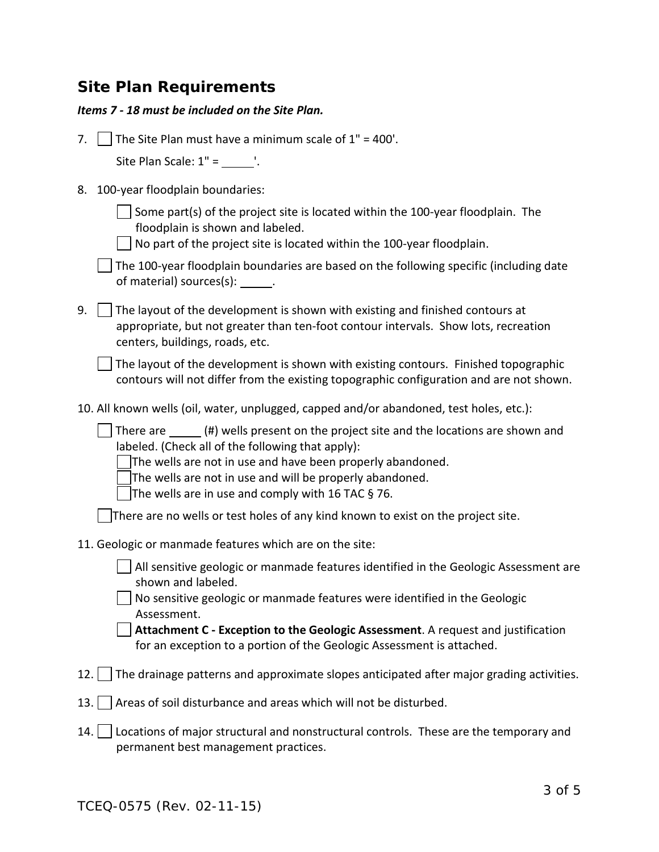## *Site Plan Requirements*

|  |  | Items 7 - 18 must be included on the Site Plan. |  |  |
|--|--|-------------------------------------------------|--|--|
|--|--|-------------------------------------------------|--|--|

| 7.  | The Site Plan must have a minimum scale of $1" = 400'.$                                                                                                                                                                                                                                                                                                                                                        |
|-----|----------------------------------------------------------------------------------------------------------------------------------------------------------------------------------------------------------------------------------------------------------------------------------------------------------------------------------------------------------------------------------------------------------------|
|     | Site Plan Scale: $1" = \underline{\hspace{2cm}}'.$                                                                                                                                                                                                                                                                                                                                                             |
| 8.  | 100-year floodplain boundaries:                                                                                                                                                                                                                                                                                                                                                                                |
|     | Some part(s) of the project site is located within the 100-year floodplain. The<br>floodplain is shown and labeled.<br>No part of the project site is located within the 100-year floodplain.                                                                                                                                                                                                                  |
|     | The 100-year floodplain boundaries are based on the following specific (including date<br>of material) sources(s): ______.                                                                                                                                                                                                                                                                                     |
| 9.  | The layout of the development is shown with existing and finished contours at<br>appropriate, but not greater than ten-foot contour intervals. Show lots, recreation<br>centers, buildings, roads, etc.                                                                                                                                                                                                        |
|     | The layout of the development is shown with existing contours. Finished topographic<br>contours will not differ from the existing topographic configuration and are not shown.                                                                                                                                                                                                                                 |
|     | 10. All known wells (oil, water, unplugged, capped and/or abandoned, test holes, etc.):                                                                                                                                                                                                                                                                                                                        |
|     | There are _______(#) wells present on the project site and the locations are shown and<br>labeled. (Check all of the following that apply):<br>The wells are not in use and have been properly abandoned.<br>The wells are not in use and will be properly abandoned.<br>The wells are in use and comply with 16 TAC § 76.<br>There are no wells or test holes of any kind known to exist on the project site. |
|     | 11. Geologic or manmade features which are on the site:                                                                                                                                                                                                                                                                                                                                                        |
|     | All sensitive geologic or manmade features identified in the Geologic Assessment are<br>shown and labeled.<br>No sensitive geologic or manmade features were identified in the Geologic<br>Assessment.<br>Attachment C - Exception to the Geologic Assessment. A request and justification<br>for an exception to a portion of the Geologic Assessment is attached.                                            |
| 12. | The drainage patterns and approximate slopes anticipated after major grading activities.                                                                                                                                                                                                                                                                                                                       |
| 13. | Areas of soil disturbance and areas which will not be disturbed.                                                                                                                                                                                                                                                                                                                                               |
| 14. | Locations of major structural and nonstructural controls. These are the temporary and<br>permanent best management practices.                                                                                                                                                                                                                                                                                  |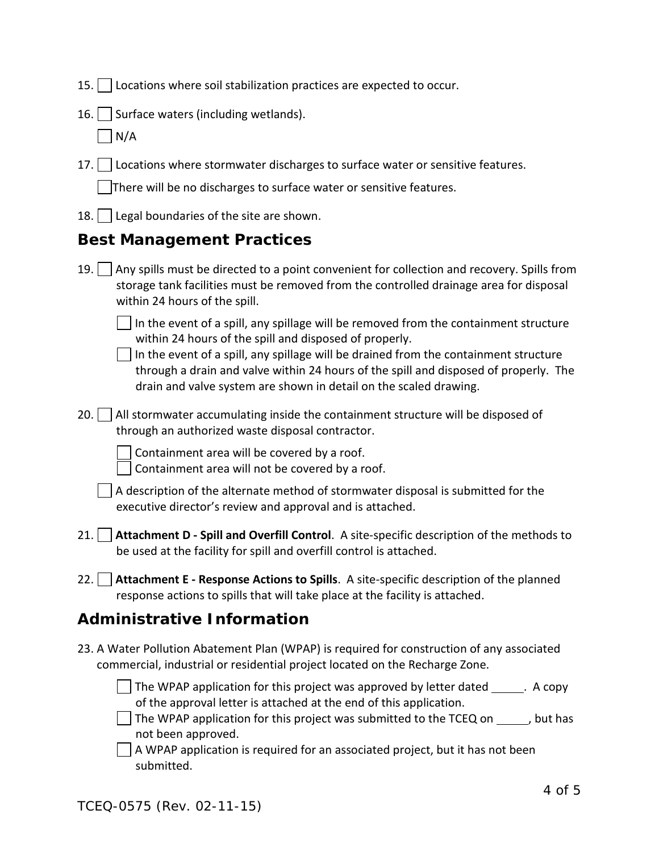|  | 15. Locations where soil stabilization practices are expected to occur. |  |  |  |  |
|--|-------------------------------------------------------------------------|--|--|--|--|
|  |                                                                         |  |  |  |  |

16. Surface waters (including wetlands).

 $\vert$  N/A

17. | Locations where stormwater discharges to surface water or sensitive features.

There will be no discharges to surface water or sensitive features.

18.  $\vert$  Legal boundaries of the site are shown.

## *Best Management Practices*

19.  $\vert$  Any spills must be directed to a point convenient for collection and recovery. Spills from storage tank facilities must be removed from the controlled drainage area for disposal within 24 hours of the spill.

 $\vert \ \vert$  In the event of a spill, any spillage will be removed from the containment structure within 24 hours of the spill and disposed of properly.

 $\vert \ \vert$  In the event of a spill, any spillage will be drained from the containment structure through a drain and valve within 24 hours of the spill and disposed of properly. The drain and valve system are shown in detail on the scaled drawing.

 $20.$  All stormwater accumulating inside the containment structure will be disposed of through an authorized waste disposal contractor.

Containment area will be covered by a roof.

Containment area will not be covered by a roof.

| $\Box$ A description of the alternate method of stormwater disposal is submitted for the |  |
|------------------------------------------------------------------------------------------|--|
| executive director's review and approval and is attached.                                |  |

- 21. **Attachment D - Spill and Overfill Control**. A site-specific description of the methods to be used at the facility for spill and overfill control is attached.
- 22. **Attachment E - Response Actions to Spills**. A site-specific description of the planned response actions to spills that will take place at the facility is attached.

## *Administrative Information*

23. A Water Pollution Abatement Plan (WPAP) is required for construction of any associated commercial, industrial or residential project located on the Recharge Zone.

 $\Box$  The WPAP application for this project was approved by letter dated  $\Box$ . A copy of the approval letter is attached at the end of this application.

 $\Box$  The WPAP application for this project was submitted to the TCEQ on  $\Box$ , but has not been approved.

 $\Box$  A WPAP application is required for an associated project, but it has not been submitted.